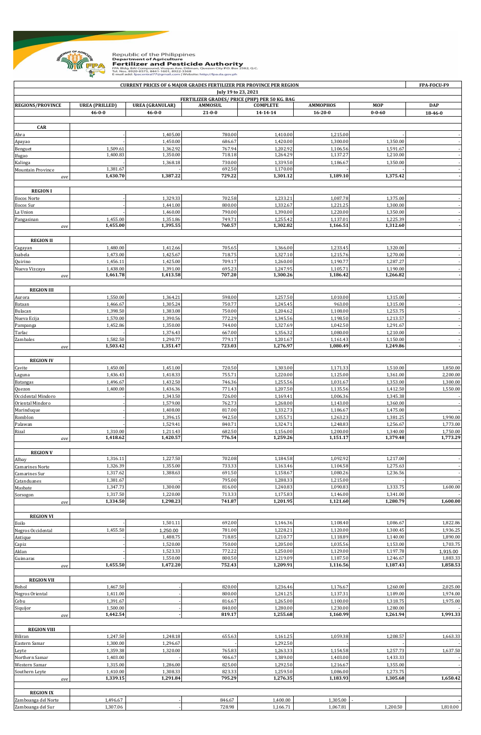

Republic of the Philippines<br> **Pertilizer and Pesticide Authority<br>
Fertilizer and Pesticide Authority**<br>
FRA Bidg. BAI Compound, Visayas Ave. Diliman, Quezon City P.O. Box 2582, Q.C.<br>
Tel. Nos. 8920-8573, 8441-1601, 8922-336

|                                                                      |                       |                        | <b>CURRENT PRICES OF 6 MAJOR GRADES FERTILIZER PER PROVINCE PER REGION</b> |                      |                      |                      | FPA-FOCU-F9          |  |  |  |  |
|----------------------------------------------------------------------|-----------------------|------------------------|----------------------------------------------------------------------------|----------------------|----------------------|----------------------|----------------------|--|--|--|--|
| July 19 to 23, 2021<br>FERTILIZER GRADES/ PRICE (PHP) PER 50 KG. BAG |                       |                        |                                                                            |                      |                      |                      |                      |  |  |  |  |
| <b>REGIONS/PROVINCE</b>                                              | <b>UREA</b> (PRILLED) | <b>UREA</b> (GRANULAR) | <b>AMMOSUL</b>                                                             | <b>COMPLETE</b>      | <b>AMMOPHOS</b>      | <b>MOP</b>           | <b>DAP</b>           |  |  |  |  |
|                                                                      | $46 - 0 - 0$          | $46 - 0 - 0$           | $21 - 0 - 0$                                                               | 14-14-14             | $16 - 20 - 0$        | $0 - 0 - 60$         | 18-46-0              |  |  |  |  |
|                                                                      |                       |                        |                                                                            |                      |                      |                      |                      |  |  |  |  |
| CAR                                                                  |                       |                        |                                                                            |                      |                      |                      |                      |  |  |  |  |
| Abra                                                                 |                       | 1,405.00               | 780.00                                                                     | 1,410.00             | 1,215.00             |                      |                      |  |  |  |  |
| Apayao                                                               | 1,509.61              | 1,450.00<br>1,362.92   | 686.67<br>767.94                                                           | 1,420.00<br>1,202.92 | 1,300.00<br>1,106.56 | 1,350.00<br>1,591.67 |                      |  |  |  |  |
| Benguet<br>Ifugao                                                    | 1,400.83              | 1,350.00               | 718.18                                                                     | 1,264.29             | 1,137.27             | 1,210.00             |                      |  |  |  |  |
| Kalinga                                                              |                       | 1,368.18               | 730.00                                                                     | 1,339.50             | 1,186.67             | 1,350.00             |                      |  |  |  |  |
| Mountain Province                                                    | 1,381.67              |                        | 692.50                                                                     | 1,170.00             |                      |                      |                      |  |  |  |  |
| ave                                                                  | 1,430.70              | 1,387.22               | 729.22                                                                     | 1,301.12             | 1,189.10             | 1,375.42             |                      |  |  |  |  |
|                                                                      |                       |                        |                                                                            |                      |                      |                      |                      |  |  |  |  |
| <b>REGION I</b>                                                      |                       |                        |                                                                            |                      |                      |                      |                      |  |  |  |  |
| Ilocos Norte                                                         |                       | 1,329.33               | 702.58                                                                     | 1,233.21             | 1,087.78             | 1,375.00             |                      |  |  |  |  |
| Ilocos Sur<br>La Union                                               |                       | 1,441.00<br>1,460.00   | 800.00<br>790.00                                                           | 1,332.67<br>1,390.00 | 1,221.25<br>1,220.00 | 1,300.00<br>1,350.00 |                      |  |  |  |  |
| Pangasinan                                                           | 1,455.00              | 1,351.86               | 749.71                                                                     | 1,255.42             | 1,137.01             | 1,225.39             |                      |  |  |  |  |
| ave                                                                  | 1,455.00              | 1,395.55               | 760.57                                                                     | 1,302.82             | 1,166.51             | 1,312.60             |                      |  |  |  |  |
|                                                                      |                       |                        |                                                                            |                      |                      |                      |                      |  |  |  |  |
| <b>REGION II</b>                                                     |                       |                        |                                                                            |                      |                      |                      |                      |  |  |  |  |
| Cagayan                                                              | 1,480.00              | 1,412.66               | 705.65                                                                     | 1,366.00             | 1,233.45             | 1,320.00             |                      |  |  |  |  |
| Isabela                                                              | 1,473.00              | 1,425.67               | 718.75                                                                     | 1,327.10             | 1,215.76             | 1,270.00             |                      |  |  |  |  |
| Quirino                                                              | 1,456.11              | 1,425.00               | 709.17                                                                     | 1,260.00             | 1,190.77             | 1,287.27             |                      |  |  |  |  |
| Nueva Vizcaya                                                        | 1,438.00<br>1,461.78  | 1,391.00<br>1,413.58   | 695.23<br>707.20                                                           | 1,247.95<br>1,300.26 | 1,105.71<br>1,186.42 | 1,190.00<br>1,266.82 |                      |  |  |  |  |
| ave                                                                  |                       |                        |                                                                            |                      |                      |                      |                      |  |  |  |  |
|                                                                      |                       |                        |                                                                            |                      |                      |                      |                      |  |  |  |  |
| <b>REGION III</b><br>Aurora                                          | 1,550.00              | 1,364.21               | 598.00                                                                     | 1,257.50             | 1,010.00             | 1,315.00             |                      |  |  |  |  |
| Bataan                                                               | 1,466.67              | 1,305.24               | 750.77                                                                     | 1,245.45             | 963.00               | 1,315.00             |                      |  |  |  |  |
| Bulacan                                                              | 1,398.50              | 1,383.08               | 750.00                                                                     | 1,204.62             | 1,108.00             | 1,253.75             |                      |  |  |  |  |
| Nueva Ecija                                                          | 1,570.00              | 1,390.56               | 772.29                                                                     | 1,345.56             | 1,198.50             | 1,213.57             |                      |  |  |  |  |
| Pampanga                                                             | 1,452.86              | 1,350.00               | 744.00                                                                     | 1,327.69             | 1,042.50             | 1,291.67             |                      |  |  |  |  |
| Tarlac                                                               |                       | 1,376.43               | 667.00                                                                     | 1,356.32             | 1,080.00             | 1,210.00             |                      |  |  |  |  |
| Zambales                                                             | 1,582.50              | 1,290.77               | 779.17                                                                     | 1,201.67             | 1,161.43             | 1,150.00             |                      |  |  |  |  |
| ave                                                                  | 1,503.42              | 1,351.47               | 723.03                                                                     | 1,276.97             | 1,080.49             | 1,249.86             |                      |  |  |  |  |
|                                                                      |                       |                        |                                                                            |                      |                      |                      |                      |  |  |  |  |
| <b>REGION IV</b>                                                     |                       |                        |                                                                            |                      |                      |                      |                      |  |  |  |  |
| Cavite                                                               | 1,450.00<br>1,436.43  | 1,451.00<br>1,418.33   | 720.50<br>755.71                                                           | 1,303.00<br>1,220.00 | 1,171.33<br>1,125.00 | 1,510.00<br>1,361.00 | 1,850.00<br>2,200.00 |  |  |  |  |
| Laguna<br>Batangas                                                   | 1,496.67              | 1,432.50               | 746.36                                                                     | 1,255.56             | 1,031.67             | 1,353.00             | 1,300.00             |  |  |  |  |
| Quezon                                                               | 1,400.00              | 1,436.36               | 771.43                                                                     | 1,207.50             | 1,135.56             | 1,412.50             | 1,550.00             |  |  |  |  |
| Occidental Mindoro                                                   |                       | 1,343.50               | 726.00                                                                     | 1,169.41             | 1,006.36             | 1,345.38             |                      |  |  |  |  |
| Oriental Mindoro                                                     |                       | 1,579.00               | 762.73                                                                     | 1,268.00             | 1,143.00             | 1,360.00             |                      |  |  |  |  |
| Marinduque                                                           |                       | 1,408.00               | 817.00                                                                     | 1,332.73             | 1,186.67             | 1,475.00             |                      |  |  |  |  |
| Romblon                                                              |                       | 1,396.15               | 942.50                                                                     | 1,355.71             | 1,263.23             | 1,381.25             | 1,990.00             |  |  |  |  |
| Palawan                                                              |                       | 1,529.41               | 840.71                                                                     | 1,324.71             | 1,248.83             | 1,256.67             | 1,773.00             |  |  |  |  |
| Rizal                                                                | 1,310.00              | 1,211.43               | 682.50                                                                     | 1,156.00             | 1,200.00             | 1,340.00             | 1,750.00             |  |  |  |  |
| ave                                                                  | 1,418.62              | 1,420.57               | 776.54                                                                     | 1,259.26             | 1,151.17             | 1,379.48             | 1,773.29             |  |  |  |  |
| <b>REGION V</b>                                                      |                       |                        |                                                                            |                      |                      |                      |                      |  |  |  |  |
| Albay                                                                | 1,316.11              | 1,227.50               | 702.08                                                                     | 1,184.58             | 1,092.92             | 1,217.00             |                      |  |  |  |  |
| Camarines Norte                                                      | 1,326.39              | 1,355.00               | 733.33                                                                     | 1,163.46             | 1,104.58             | 1,275.63             |                      |  |  |  |  |
| Camarines Sur                                                        | 1,317.62              | 1,388.63               | 691.50                                                                     | 1,158.67             | 1,080.26             | 1,236.56             |                      |  |  |  |  |
| Catanduanes                                                          | 1,381.67              |                        | 795.00                                                                     | 1,288.33             | 1,215.00             |                      |                      |  |  |  |  |
| Masbate                                                              | 1,347.73              | 1,300.00               | 816.00                                                                     | 1,240.83             | 1,090.83             | 1,333.75             | 1,600.00             |  |  |  |  |
| Sorsogon                                                             | 1,317.50              | 1,220.00               | 713.33                                                                     | 1,175.83             | 1,146.00             | 1,341.00             |                      |  |  |  |  |
| ave                                                                  | 1,334.50              | 1,298.23               | 741.87                                                                     | 1,201.95             | 1,121.60             | 1,280.79             | 1,600.00             |  |  |  |  |
|                                                                      |                       |                        |                                                                            |                      |                      |                      |                      |  |  |  |  |
| <b>REGION VI</b>                                                     |                       | 1,501.11               | 692.00                                                                     | 1,146.36             | 1,108.40             | 1.086.67             | 1,822.86             |  |  |  |  |
| Iloilo<br>Negros Occidental                                          | 1,455.50              | 1,250.00               | 781.00                                                                     | 1,228.21             | 1,120.00             | 1,300.45             | 1,936.25             |  |  |  |  |
| Antique                                                              |                       | 1,488.75               | 718.85                                                                     | 1,210.77             | 1,118.89             | 1,140.00             | 1,890.00             |  |  |  |  |
| Capiz                                                                |                       | 1,520.00               | 750.00                                                                     | 1,205.00             | 1,035.56             | 1,153.00             | 1,703.75             |  |  |  |  |
| Aklan                                                                |                       | 1,523.33               | 772.22                                                                     | 1,250.00             | 1,129.00             | 1,197.78             | 1,915.00             |  |  |  |  |
| Guimaras                                                             |                       | 1,550.00               | 800.50                                                                     | 1,219.09             | 1,187.50             | 1,246.67             | 1,883.33             |  |  |  |  |
| ave                                                                  | 1,455.50              | 1,472.20               | 752.43                                                                     | 1,209.91             | 1,116.56             | 1,187.43             | 1,858.53             |  |  |  |  |
|                                                                      |                       |                        |                                                                            |                      |                      |                      |                      |  |  |  |  |
| <b>REGION VII</b>                                                    |                       |                        |                                                                            |                      |                      |                      |                      |  |  |  |  |
| Bohol                                                                | 1,467.50              |                        | 820.00                                                                     | 1,236.46             | 1,176.67             | 1,260.00             | 2,025.00             |  |  |  |  |
| Negros Oriental                                                      | 1,411.00              |                        | 800.00                                                                     | 1,241.25             | 1,137.31             | 1,189.00             | 1,974.00             |  |  |  |  |
| Cebu<br>Siquijor                                                     | 1,391.67<br>1,500.00  |                        | 816.67<br>840.00                                                           | 1,265.00<br>1,280.00 | 1,100.00<br>1,230.00 | 1,318.75<br>1,280.00 | 1,975.00             |  |  |  |  |
| ave                                                                  | 1,442.54              |                        | 819.17                                                                     | 1,255.68             | 1,160.99             | 1,261.94             | 1,991.33             |  |  |  |  |
|                                                                      |                       |                        |                                                                            |                      |                      |                      |                      |  |  |  |  |
| <b>REGION VIII</b>                                                   |                       |                        |                                                                            |                      |                      |                      |                      |  |  |  |  |
| Biliran                                                              | 1,247.50              | 1,248.18               | 655.63                                                                     | 1,161.25             | 1,059.38             | 1,208.57             | 1,663.33             |  |  |  |  |
| Eastern Samar                                                        | 1,300.00              | 1,296.67               |                                                                            | 1,292.50             |                      |                      |                      |  |  |  |  |
| Leyte                                                                | 1,359.38              | 1,320.00               | 765.83                                                                     | 1,263.33             | 1,154.58             | 1,257.73             | 1,637.50             |  |  |  |  |
| Northern Samar                                                       | 1,403.00              |                        | 906.67                                                                     | 1,389.00             | 1,403.00             | 1,433.33             |                      |  |  |  |  |
| Western Samar                                                        | 1,315.00              | 1,286.00               | 825.00                                                                     | 1,292.50             | 1,216.67             | 1,355.00             |                      |  |  |  |  |
| Southern Leyte                                                       | 1,410.00<br>1,339.15  | 1,308.33<br>1,291.84   | 823.33<br>795.29                                                           | 1,259.50<br>1,276.35 | 1,086.00<br>1,183.93 | 1,273.75<br>1,305.68 | 1,650.42             |  |  |  |  |
| ave                                                                  |                       |                        |                                                                            |                      |                      |                      |                      |  |  |  |  |
| <b>REGION IX</b>                                                     |                       |                        |                                                                            |                      |                      |                      |                      |  |  |  |  |
| Zamboanga del Norte                                                  | 1,496.67              |                        | 846.67                                                                     | 1,400.00             | 1,305.00             |                      |                      |  |  |  |  |
| Zamboanga del Sur                                                    | 1,307.06              |                        | 728.98                                                                     | 1,166.71             | 1,067.81             | 1,200.50             | 1,810.00             |  |  |  |  |